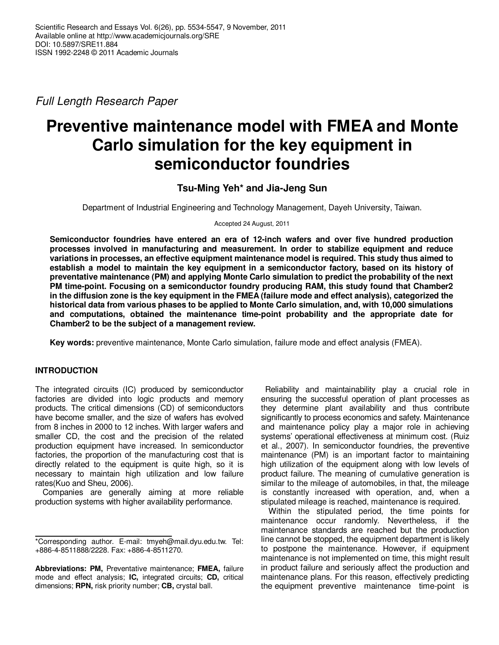Full Length Research Paper

# **Preventive maintenance model with FMEA and Monte Carlo simulation for the key equipment in semiconductor foundries**

## **Tsu-Ming Yeh\* and Jia-Jeng Sun**

Department of Industrial Engineering and Technology Management, Dayeh University, Taiwan.

Accepted 24 August, 2011

**Semiconductor foundries have entered an era of 12-inch wafers and over five hundred production processes involved in manufacturing and measurement. In order to stabilize equipment and reduce variations in processes, an effective equipment maintenance model is required. This study thus aimed to establish a model to maintain the key equipment in a semiconductor factory, based on its history of preventative maintenance (PM) and applying Monte Carlo simulation to predict the probability of the next PM time-point. Focusing on a semiconductor foundry producing RAM, this study found that Chamber2 in the diffusion zone is the key equipment in the FMEA (failure mode and effect analysis), categorized the historical data from various phases to be applied to Monte Carlo simulation, and, with 10,000 simulations and computations, obtained the maintenance time-point probability and the appropriate date for Chamber2 to be the subject of a management review.** 

**Key words:** preventive maintenance, Monte Carlo simulation, failure mode and effect analysis (FMEA).

## **INTRODUCTION**

The integrated circuits (IC) produced by semiconductor factories are divided into logic products and memory products. The critical dimensions (CD) of semiconductors have become smaller, and the size of wafers has evolved from 8 inches in 2000 to 12 inches. With larger wafers and smaller CD, the cost and the precision of the related production equipment have increased. In semiconductor factories, the proportion of the manufacturing cost that is directly related to the equipment is quite high, so it is necessary to maintain high utilization and low failure rates(Kuo and Sheu, 2006).

Companies are generally aiming at more reliable production systems with higher availability performance.

 Reliability and maintainability play a crucial role in ensuring the successful operation of plant processes as they determine plant availability and thus contribute significantly to process economics and safety. Maintenance and maintenance policy play a major role in achieving systems' operational effectiveness at minimum cost. (Ruiz et al., 2007). In semiconductor foundries, the preventive maintenance (PM) is an important factor to maintaining high utilization of the equipment along with low levels of product failure. The meaning of cumulative generation is similar to the mileage of automobiles, in that, the mileage is constantly increased with operation, and, when a stipulated mileage is reached, maintenance is required.

Within the stipulated period, the time points for maintenance occur randomly. Nevertheless, if the maintenance standards are reached but the production line cannot be stopped, the equipment department is likely to postpone the maintenance. However, if equipment maintenance is not implemented on time, this might result in product failure and seriously affect the production and maintenance plans. For this reason, effectively predicting the equipment preventive maintenance time-point is

<sup>\*</sup>Corresponding author. E-mail: tmyeh@mail.dyu.edu.tw. Tel: +886-4-8511888/2228. Fax: +886-4-8511270.

**Abbreviations: PM,** Preventative maintenance; **FMEA,** failure mode and effect analysis; **IC,** integrated circuits; **CD,** critical dimensions; **RPN,** risk priority number; **CB,** crystal ball.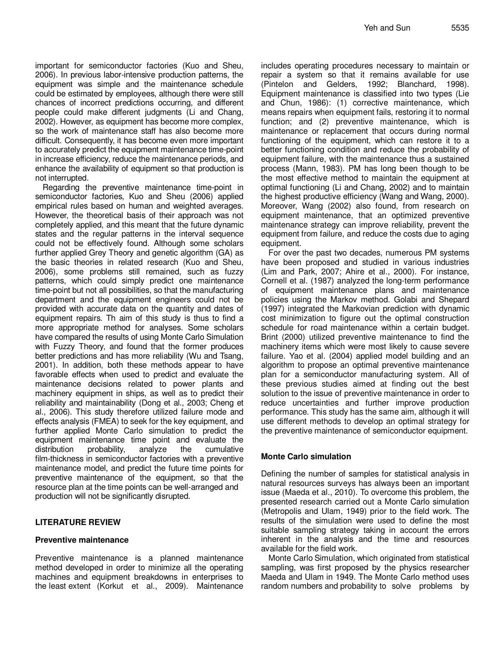important for semiconductor factories (Kuo and Sheu, 2006). In previous labor-intensive production patterns, the equipment was simple and the maintenance schedule could be estimated by employees, although there were still chances of incorrect predictions occurring, and different people could make different judgments (Li and Chang, 2002). However, as equipment has become more complex, so the work of maintenance staff has also become more difficult. Consequently, it has become even more important to accurately predict the equipment maintenance time-point in increase efficiency, reduce the maintenance periods, and enhance the availability of equipment so that production is not interrupted.

Regarding the preventive maintenance time-point in semiconductor factories, Kuo and Sheu (2006) applied empirical rules based on human and weighted averages. However, the theoretical basis of their approach was not completely applied, and this meant that the future dynamic states and the regular patterns in the interval sequence could not be effectively found. Although some scholars further applied Grey Theory and genetic algorithm (GA) as the basic theories in related research (Kuo and Sheu, 2006), some problems still remained, such as fuzzy patterns, which could simply predict one maintenance time-point but not all possibilities, so that the manufacturing department and the equipment engineers could not be provided with accurate data on the quantity and dates of equipment repairs. Th aim of this study is thus to find a more appropriate method for analyses. Some scholars have compared the results of using Monte Carlo Simulation with Fuzzy Theory, and found that the former produces better predictions and has more reliability (Wu and Tsang, 2001). In addition, both these methods appear to have favorable effects when used to predict and evaluate the maintenance decisions related to power plants and machinery equipment in ships, as well as to predict their reliability and maintainability (Dong et al., 2003; Cheng et al., 2006). This study therefore utilized failure mode and effects analysis (FMEA) to seek for the key equipment, and further applied Monte Carlo simulation to predict the equipment maintenance time point and evaluate the distribution probability, analyze the cumulative film-thickness in semiconductor factories with a preventive maintenance model, and predict the future time points for preventive maintenance of the equipment, so that the resource plan at the time points can be well-arranged and production will not be significantly disrupted.

#### **LITERATURE REVIEW**

#### **Preventive maintenance**

Preventive maintenance is a planned maintenance method developed in order to minimize all the operating machines and equipment breakdowns in enterprises to the least extent (Korkut et al., 2009). Maintenance

includes operating procedures necessary to maintain or repair a system so that it remains available for use (Pintelon and Gelders, 1992; Blanchard, 1998). Equipment maintenance is classified into two types (Lie and Chun, 1986): (1) corrective maintenance, which means repairs when equipment fails, restoring it to normal function; and (2) preventive maintenance, which is maintenance or replacement that occurs during normal functioning of the equipment, which can restore it to a better functioning condition and reduce the probability of equipment failure, with the maintenance thus a sustained process (Mann, 1983). PM has long been though to be the most effective method to maintain the equipment at optimal functioning (Li and Chang, 2002) and to maintain the highest productive efficiency (Wang and Wang, 2000). Moreover, Wang (2002) also found, from research on equipment maintenance, that an optimized preventive maintenance strategy can improve reliability, prevent the equipment from failure, and reduce the costs due to aging equipment.

For over the past two decades, numerous PM systems have been proposed and studied in various industries (Lim and Park, 2007; Ahire et al., 2000). For instance, Cornell et al. (1987) analyzed the long-term performance of equipment maintenance plans and maintenance policies using the Markov method. Golabi and Shepard (1997) integrated the Markovian prediction with dynamic cost minimization to figure out the optimal construction schedule for road maintenance within a certain budget. Brint (2000) utilized preventive maintenance to find the machinery items which were most likely to cause severe failure. Yao et al. (2004) applied model building and an algorithm to propose an optimal preventive maintenance plan for a semiconductor manufacturing system. All of these previous studies aimed at finding out the best solution to the issue of preventive maintenance in order to reduce uncertainties and further improve production performance. This study has the same aim, although it will use different methods to develop an optimal strategy for the preventive maintenance of semiconductor equipment.

### **Monte Carlo simulation**

Defining the number of samples for statistical analysis in natural resources surveys has always been an important issue (Maeda et al., 2010). To overcome this problem, the presented research carried out a Monte Carlo simulation (Metropolis and Ulam, 1949) prior to the field work. The results of the simulation were used to define the most suitable sampling strategy taking in account the errors inherent in the analysis and the time and resources available for the field work.

Monte Carlo Simulation, which originated from statistical sampling, was first proposed by the physics researcher Maeda and Ulam in 1949. The Monte Carlo method uses random numbers and probability to solve problems by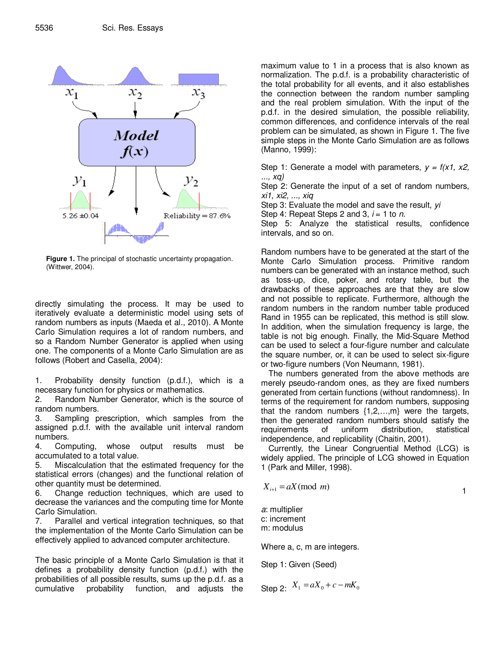

**Figure 1.** The principal of stochastic uncertainty propagation. (Wittwer, 2004).

directly simulating the process. It may be used to iteratively evaluate a deterministic model using sets of random numbers as inputs (Maeda et al., 2010). A Monte Carlo Simulation requires a lot of random numbers, and so a Random Number Generator is applied when using one. The components of a Monte Carlo Simulation are as follows (Robert and Casella, 2004):

1. Probability density function (p.d.f.), which is a necessary function for physics or mathematics.

2. Random Number Generator, which is the source of random numbers.

3. Sampling prescription, which samples from the assigned p.d.f. with the available unit interval random numbers.

4. Computing, whose output results must be accumulated to a total value.

5. Miscalculation that the estimated frequency for the statistical errors (changes) and the functional relation of other quantity must be determined.

6. Change reduction techniques, which are used to decrease the variances and the computing time for Monte Carlo Simulation.

7. Parallel and vertical integration techniques, so that the implementation of the Monte Carlo Simulation can be effectively applied to advanced computer architecture.

The basic principle of a Monte Carlo Simulation is that it defines a probability density function (p.d.f.) with the probabilities of all possible results, sums up the p.d.f. as a cumulative probability function, and adjusts the

maximum value to 1 in a process that is also known as normalization. The p.d.f. is a probability characteristic of the total probability for all events, and it also establishes the connection between the random number sampling and the real problem simulation. With the input of the p.d.f. in the desired simulation, the possible reliability, common differences, and confidence intervals of the real problem can be simulated, as shown in Figure 1. The five simple steps in the Monte Carlo Simulation are as follows (Manno, 1999):

Step 1: Generate a model with parameters,  $y = f(x1, x2,$ ..., xq)

Step 2: Generate the input of a set of random numbers, xi1, xi2, ..., xiq

Step 3: Evaluate the model and save the result, yi

Step 4: Repeat Steps 2 and 3,  $i = 1$  to n.

Step 5: Analyze the statistical results, confidence intervals, and so on.

Random numbers have to be generated at the start of the Monte Carlo Simulation process. Primitive random numbers can be generated with an instance method, such as toss-up, dice, poker, and rotary table, but the drawbacks of these approaches are that they are slow and not possible to replicate. Furthermore, although the random numbers in the random number table produced Rand in 1955 can be replicated, this method is still slow. In addition, when the simulation frequency is large, the table is not big enough. Finally, the Mid-Square Method can be used to select a four-figure number and calculate the square number, or, it can be used to select six-figure or two-figure numbers (Von Neumann, 1981).

The numbers generated from the above methods are merely pseudo-random ones, as they are fixed numbers generated from certain functions (without randomness). In terms of the requirement for random numbers, supposing that the random numbers  $\{1, 2, \ldots, m\}$  were the targets, then the generated random numbers should satisfy the requirements of uniform distribution, statistical independence, and replicability (Chaitin, 2001).

Currently, the Linear Congruential Method (LCG) is widely applied. The principle of LCG showed in Equation 1 (Park and Miller, 1998).

$$
X_{i+1} = aX \pmod{m}
$$

a: multiplier c: increment m: modulus

Where a, c, m are integers.

Step 1: Given (Seed)

Step 2: 
$$
X_1 = aX_0 + c - mK_0
$$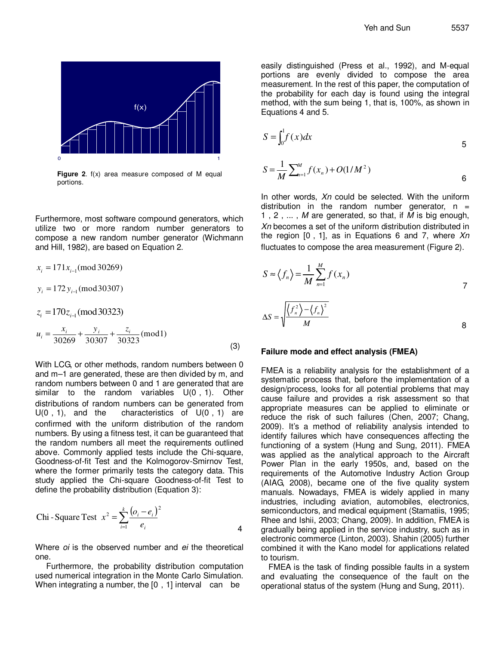

**Figure 2**. f(x) area measure composed of M equal portions.

Furthermore, most software compound generators, which utilize two or more random number generators to compose a new random number generator (Wichmann and Hill, 1982), are based on Equation 2.

$$
x_i = 171x_{i-1} \text{(mod 30269)}
$$
  
\n
$$
y_i = 172 y_{i-1} \text{(mod 30307)}
$$
  
\n
$$
z_i = 170z_{i-1} \text{(mod 30323)}
$$
  
\n
$$
u_i = \frac{x_i}{30269} + \frac{y_i}{30307} + \frac{z_i}{30323} \text{(mod1)}
$$
\n(3)

With LCG, or other methods, random numbers between 0 and m–1 are generated, these are then divided by m, and random numbers between 0 and 1 are generated that are similar to the random variables U(0,1). Other distributions of random numbers can be generated from  $U(0, 1)$ , and the characteristics of  $U(0, 1)$  are confirmed with the uniform distribution of the random numbers. By using a fitness test, it can be guaranteed that the random numbers all meet the requirements outlined above. Commonly applied tests include the Chi-square, Goodness-of-fit Test and the Kolmogorov-Smirnov Test, where the former primarily tests the category data. This study applied the Chi-square Goodness-of-fit Test to define the probability distribution (Equation 3):

Chi-Square Test 
$$
x^2 = \sum_{i=1}^k \frac{(o_i - e_i)^2}{e_i}
$$

Where *oi* is the observed number and *ei* the theoretical one.

Furthermore, the probability distribution computation used numerical integration in the Monte Carlo Simulation. When integrating a number, the  $[0, 1]$  interval can be

easily distinguished (Press et al., 1992), and M-equal portions are evenly divided to compose the area measurement. In the rest of this paper, the computation of the probability for each day is found using the integral method, with the sum being 1, that is, 100%, as shown in Equations 4 and 5.

$$
S = \int_0^1 f(x) dx
$$
  
\n
$$
S = \frac{1}{M} \sum_{n=1}^{M} f(x_n) + O(1/M^2)
$$

In other words, Xn could be selected. With the uniform distribution in the random number generator,  $n =$ 1, 2, ..., M are generated, so that, if  $\overline{M}$  is big enough, Xn becomes a set of the uniform distribution distributed in the region  $[0, 1]$ , as in Equations 6 and 7, where  $Xn$ fluctuates to compose the area measurement (Figure 2).

$$
S \approx \langle f_n \rangle = \frac{1}{M} \sum_{n=1}^{M} f(x_n)
$$
  

$$
\Delta S = \sqrt{\frac{\langle f_n^2 \rangle - \langle f_n \rangle^2}{M}}
$$

#### **Failure mode and effect analysis (FMEA)**

FMEA is a reliability analysis for the establishment of a systematic process that, before the implementation of a design/process, looks for all potential problems that may cause failure and provides a risk assessment so that appropriate measures can be applied to eliminate or reduce the risk of such failures (Chen, 2007; Chang, 2009). It's a method of reliability analysis intended to identify failures which have consequences affecting the functioning of a system (Hung and Sung, 2011). FMEA was applied as the analytical approach to the Aircraft Power Plan in the early 1950s, and, based on the requirements of the Automotive Industry Action Group (AIAG, 2008), became one of the five quality system manuals. Nowadays, FMEA is widely applied in many industries, including aviation, automobiles, electronics, semiconductors, and medical equipment (Stamatiis, 1995; Rhee and Ishii, 2003; Chang, 2009). In addition, FMEA is gradually being applied in the service industry, such as in electronic commerce (Linton, 2003). Shahin (2005) further combined it with the Kano model for applications related to tourism.

FMEA is the task of finding possible faults in a system and evaluating the consequence of the fault on the operational status of the system (Hung and Sung, 2011).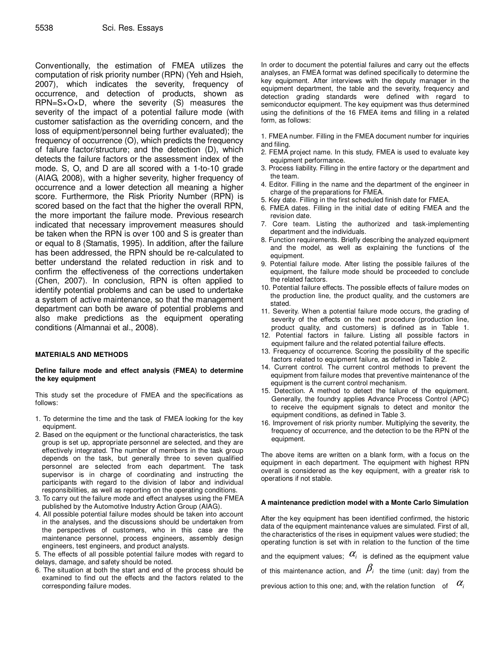Conventionally, the estimation of FMEA utilizes the computation of risk priority number (RPN) (Yeh and Hsieh, 2007), which indicates the severity, frequency of occurrence, and detection of products, shown as RPN=S×O×D, where the severity (S) measures the severity of the impact of a potential failure mode (with customer satisfaction as the overriding concern, and the loss of equipment/personnel being further evaluated); the frequency of occurrence (O), which predicts the frequency of failure factor/structure; and the detection (D), which detects the failure factors or the assessment index of the mode. S, O, and D are all scored with a 1-to-10 grade (AIAG, 2008), with a higher severity, higher frequency of occurrence and a lower detection all meaning a higher score. Furthermore, the Risk Priority Number (RPN) is scored based on the fact that the higher the overall RPN, the more important the failure mode. Previous research indicated that necessary improvement measures should be taken when the RPN is over 100 and S is greater than or equal to 8 (Stamatis, 1995). In addition, after the failure has been addressed, the RPN should be re-calculated to better understand the related reduction in risk and to confirm the effectiveness of the corrections undertaken (Chen, 2007). In conclusion, RPN is often applied to identify potential problems and can be used to undertake a system of active maintenance, so that the management department can both be aware of potential problems and also make predictions as the equipment operating conditions (Almannai et al., 2008).

#### **MATERIALS AND METHODS**

#### **Define failure mode and effect analysis (FMEA) to determine the key equipment**

This study set the procedure of FMEA and the specifications as follows:

- 1. To determine the time and the task of FMEA looking for the key equipment.
- 2. Based on the equipment or the functional characteristics, the task group is set up, appropriate personnel are selected, and they are effectively integrated. The number of members in the task group depends on the task, but generally three to seven qualified personnel are selected from each department. The task supervisor is in charge of coordinating and instructing the participants with regard to the division of labor and individual responsibilities, as well as reporting on the operating conditions.
- 3. To carry out the failure mode and effect analyses using the FMEA published by the Automotive Industry Action Group (AIAG).
- 4. All possible potential failure modes should be taken into account in the analyses, and the discussions should be undertaken from the perspectives of customers, who in this case are the maintenance personnel, process engineers, assembly design engineers, test engineers, and product analysts.

5. The effects of all possible potential failure modes with regard to delays, damage, and safety should be noted.

6. The situation at both the start and end of the process should be examined to find out the effects and the factors related to the corresponding failure modes.

In order to document the potential failures and carry out the effects analyses, an FMEA format was defined specifically to determine the key equipment. After interviews with the deputy manager in the equipment department, the table and the severity, frequency and detection grading standards were defined with regard to semiconductor equipment. The key equipment was thus determined using the definitions of the 16 FMEA items and filling in a related form, as follows:

1. FMEA number. Filling in the FMEA document number for inquiries and filing.

- 2. FEMA project name. In this study, FMEA is used to evaluate key equipment performance.
- 3. Process liability. Filling in the entire factory or the department and the team.
- 4. Editor. Filling in the name and the department of the engineer in charge of the preparations for FMEA.
- 5. Key date. Filling in the first scheduled finish date for FMEA.
- 6. FMEA dates. Filling in the initial date of editing FMEA and the revision date.
- 7. Core team. Listing the authorized and task-implementing department and the individuals.
- 8. Function requirements. Briefly describing the analyzed equipment and the model, as well as explaining the functions of the equipment.
- 9. Potential failure mode. After listing the possible failures of the equipment, the failure mode should be proceeded to conclude the related factors.
- 10. Potential failure effects. The possible effects of failure modes on the production line, the product quality, and the customers are stated.
- 11. Severity. When a potential failure mode occurs, the grading of severity of the effects on the next procedure (production line, product quality, and customers) is defined as in Table 1.
- 12. Potential factors in failure. Listing all possible factors in equipment failure and the related potential failure effects.
- 13. Frequency of occurrence. Scoring the possibility of the specific factors related to equipment failure, as defined in Table 2.
- 14. Current control. The current control methods to prevent the equipment from failure modes that preventive maintenance of the equipment is the current control mechanism.
- 15. Detection. A method to detect the failure of the equipment. Generally, the foundry applies Advance Process Control (APC) to receive the equipment signals to detect and monitor the equipment conditions, as defined in Table 3.
- 16. Improvement of risk priority number. Multiplying the severity, the frequency of occurrence, and the detection to be the RPN of the equipment.

The above items are written on a blank form, with a focus on the equipment in each department. The equipment with highest RPN overall is considered as the key equipment, with a greater risk to operations if not stable.

#### **A maintenance prediction model with a Monte Carlo Simulation**

After the key equipment has been identified confirmed, the historic data of the equipment maintenance values are simulated. First of all, the characteristics of the rises in equipment values were studied; the operating function is set with in relation to the function of the time

and the equipment values;  $\alpha$ <sup>i</sup> is defined as the equipment value

| of this maintenance action, and $P_i$ the time (unit: day) from the |  |
|---------------------------------------------------------------------|--|
|---------------------------------------------------------------------|--|

previous action to this one; and, with the relation function of  $\alpha_i$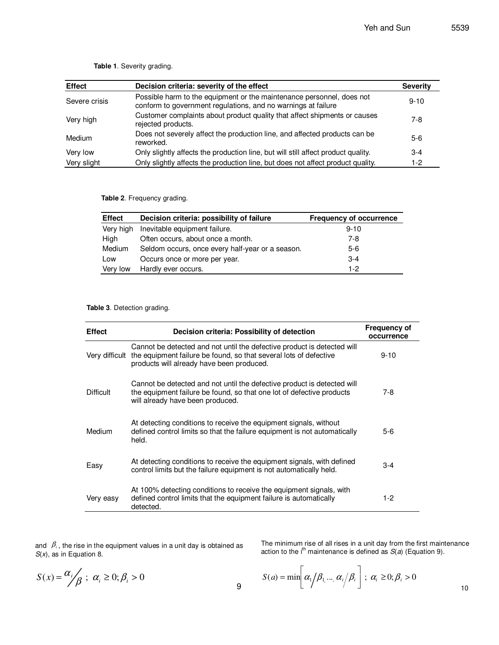| <b>Effect</b> | Decision criteria: severity of the effect                                                                                              | <b>Severity</b> |
|---------------|----------------------------------------------------------------------------------------------------------------------------------------|-----------------|
| Severe crisis | Possible harm to the equipment or the maintenance personnel, does not<br>conform to government regulations, and no warnings at failure | $9 - 10$        |
| Very high     | Customer complaints about product quality that affect shipments or causes<br>rejected products.                                        | $7-8$           |
| Medium        | Does not severely affect the production line, and affected products can be<br>reworked.                                                | 5-6             |
| Very low      | Only slightly affects the production line, but will still affect product quality.                                                      | $3 - 4$         |
| Very slight   | Only slightly affects the production line, but does not affect product quality.                                                        | $1-2$           |

**Table 1**. Severity grading.

**Table 2**. Frequency grading.

| <b>Effect</b> | Decision criteria: possibility of failure        | <b>Frequency of occurrence</b> |
|---------------|--------------------------------------------------|--------------------------------|
| Very high     | Inevitable equipment failure.                    | $9 - 10$                       |
| High          | Often occurs, about once a month.                | 7-8                            |
| Medium        | Seldom occurs, once every half-year or a season. | $5-6$                          |
| Low           | Occurs once or more per year.                    | $3 - 4$                        |
| Very low      | Hardly ever occurs.                              | $1 - 2$                        |

#### **Table 3**. Detection grading.

| <b>Effect</b>    | Decision criteria: Possibility of detection                                                                                                                                               | <b>Frequency of</b><br>occurrence |
|------------------|-------------------------------------------------------------------------------------------------------------------------------------------------------------------------------------------|-----------------------------------|
| Very difficult   | Cannot be detected and not until the defective product is detected will<br>the equipment failure be found, so that several lots of defective<br>products will already have been produced. | $9 - 10$                          |
| <b>Difficult</b> | Cannot be detected and not until the defective product is detected will<br>the equipment failure be found, so that one lot of defective products<br>will already have been produced.      | $7-8$                             |
| Medium           | At detecting conditions to receive the equipment signals, without<br>defined control limits so that the failure equipment is not automatically<br>held.                                   | $5-6$                             |
| Easy             | At detecting conditions to receive the equipment signals, with defined<br>control limits but the failure equipment is not automatically held.                                             | $3 - 4$                           |
| Very easy        | At 100% detecting conditions to receive the equipment signals, with<br>defined control limits that the equipment failure is automatically<br>detected.                                    | $1-2$                             |

and  $\beta_i$ , the rise in the equipment values in a unit day is obtained as  $S(x)$ , as in Equation 8.

The minimum rise of all rises in a unit day from the first maintenance<br>action to the i<sup>th</sup> maintenance is defined as *S*(*a*) (Equation 9).

$$
S(x) = \frac{\alpha_i}{\beta} ; \ \alpha_i \geq 0; \beta_i > 0
$$

$$
S(a) = \min \bigg[ \alpha_1 / \beta_1 \dots \alpha_i / \beta_i \bigg]; \ \alpha_i \geq 0; \beta_i > 0
$$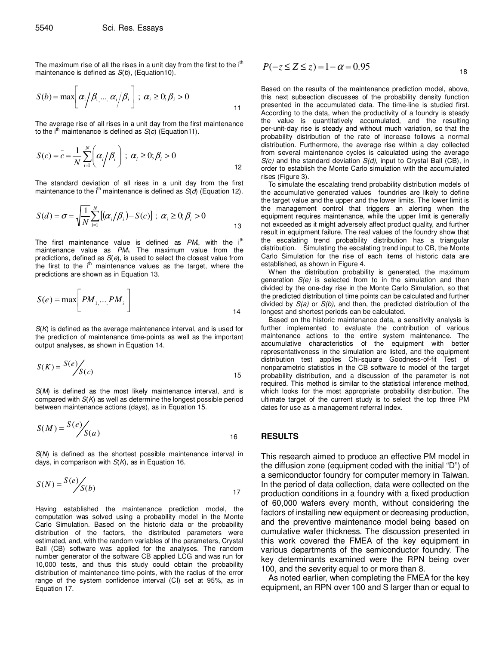The maximum rise of all the rises in a unit day from the first to the  $i<sup>th</sup>$ maintenance is defined as  $S(b)$ , (Equation10).

$$
S(b) = \max \bigg[ \alpha_1 / \beta_1 \dots \alpha_i / \beta_i \bigg]; \ \alpha_i \ge 0; \beta_i > 0
$$

The average rise of all rises in a unit day from the first maintenance to the i<sup>th</sup> maintenance is defined as  $S(c)$  (Equation11).

$$
S(c) = \bar{c} = \frac{1}{N} \sum_{i=1}^{N} \left( \alpha_i / \beta_i \right); \ \alpha_i \ge 0; \beta_i > 0
$$

The standard deviation of all rises in a unit day from the first maintenance to the i<sup>th</sup> maintenance is defined as  $S(d)$  (Equation 12).

$$
S(d) = \sigma = \sqrt{\frac{1}{N} \sum_{i=1}^{N} \left[ \left( \alpha_i / \beta_i \right) - S(c) \right]}; \ \alpha_i \ge 0; \beta_i > 0
$$
\n13

The first maintenance value is defined as  $PM_i$ , with the i<sup>th</sup> maintenance value as  $PM_i$ . The maximum value from the predictions, defined as  $S(e)$ , is used to select the closest value from the first to the  $i<sup>th</sup>$  maintenance values as the target, where the predictions are shown as in Equation 13.

$$
S(e) = \max \bigg[ PM_{1, \dots, PM_i} \bigg]
$$

 $S(K)$  is defined as the average maintenance interval, and is used for the prediction of maintenance time-points as well as the important output analyses, as shown in Equation 14.

$$
S(K) = \frac{S(e)}{S(c)} \tag{15}
$$

 $S(M)$  is defined as the most likely maintenance interval, and is compared with  $S(K)$  as well as determine the longest possible period between maintenance actions (days), as in Equation 15.

$$
S(M) = \frac{S(e)}{S(a)}
$$

S(N) is defined as the shortest possible maintenance interval in days, in comparison with  $S(K)$ , as in Equation 16.

$$
S(N) = \frac{S(e)}{S(b)} \tag{17}
$$

Having established the maintenance prediction model, the computation was solved using a probability model in the Monte Carlo Simulation. Based on the historic data or the probability distribution of the factors, the distributed parameters were estimated, and, with the random variables of the parameters, Crystal Ball (CB) software was applied for the analyses. The random number generator of the software CB applied LCG and was run for 10,000 tests, and thus this study could obtain the probability distribution of maintenance time-points, with the radius of the error range of the system confidence interval (CI) set at 95%, as in Equation 17.

$$
P(-z \le Z \le z) = 1 - \alpha = 0.95
$$

Based on the results of the maintenance prediction model, above, this next subsection discusses of the probability density function presented in the accumulated data. The time-line is studied first. According to the data, when the productivity of a foundry is steady the value is quantitatively accumulated, and the resulting per-unit-day rise is steady and without much variation, so that the probability distribution of the rate of increase follows a normal distribution. Furthermore, the average rise within a day collected from several maintenance cycles is calculated using the average  $S(c)$  and the standard deviation  $S(d)$ , input to Crystal Ball (CB), in order to establish the Monte Carlo simulation with the accumulated rises (Figure 3).

To simulate the escalating trend probability distribution models of the accumulative generated values foundries are likely to define the target value and the upper and the lower limits. The lower limit is the management control that triggers an alerting when the equipment requires maintenance, while the upper limit is generally not exceeded as it might adversely affect product quality, and further result in equipment failure. The real values of the foundry show that the escalating trend probability distribution has a triangular distribution. Simulating the escalating trend input to CB, the Monte Carlo Simulation for the rise of each items of historic data are established, as shown in Figure 4.

When the distribution probability is generated, the maximum generation  $S(e)$  is selected from to in the simulation and then divided by the one-day rise in the Monte Carlo Simulation, so that the predicted distribution of time points can be calculated and further divided by  $S(a)$  or  $S(b)$ , and then, the predicted distribution of the longest and shortest periods can be calculated.

Based on the historic maintenance data, a sensitivity analysis is further implemented to evaluate the contribution of various maintenance actions to the entire system maintenance. The accumulative characteristics of the equipment with better representativeness in the simulation are listed, and the equipment distribution test applies Chi-square Goodness-of-fit Test of nonparametric statistics in the CB software to model of the target probability distribution, and a discussion of the parameter is not required. This method is similar to the statistical inference method, which looks for the most appropriate probability distribution. The ultimate target of the current study is to select the top three PM dates for use as a management referral index.

#### **RESULTS**

This research aimed to produce an effective PM model in the diffusion zone (equipment coded with the initial "D") of a semiconductor foundry for computer memory in Taiwan. In the period of data collection, data were collected on the production conditions in a foundry with a fixed production of 60,000 wafers every month, without considering the factors of installing new equipment or decreasing production, and the preventive maintenance model being based on cumulative wafer thickness. The discussion presented in this work covered the FMEA of the key equipment in various departments of the semiconductor foundry. The key determinants examined were the RPN being over 100, and the severity equal to or more than 8.

As noted earlier, when completing the FMEA for the key equipment, an RPN over 100 and S larger than or equal to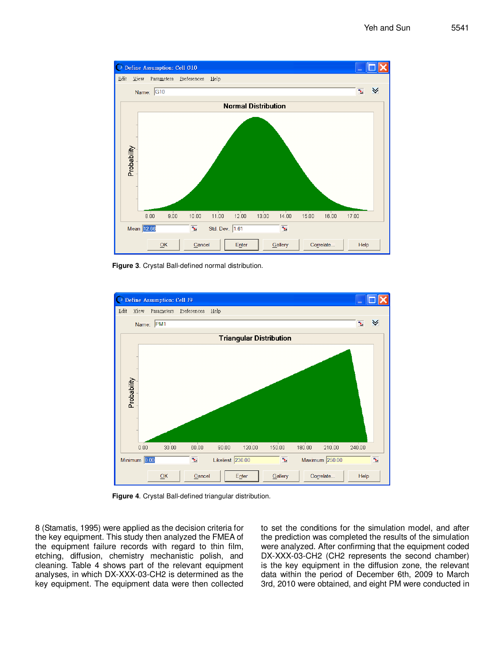

**Figure 3**. Crystal Ball-defined normal distribution.



**Figure 4**. Crystal Ball-defined triangular distribution.

8 (Stamatis, 1995) were applied as the decision criteria for the key equipment. This study then analyzed the FMEA of the equipment failure records with regard to thin film, etching, diffusion, chemistry mechanistic polish, and cleaning. Table 4 shows part of the relevant equipment analyses, in which DX-XXX-03-CH2 is determined as the key equipment. The equipment data were then collected to set the conditions for the simulation model, and after the prediction was completed the results of the simulation were analyzed. After confirming that the equipment coded DX-XXX-03-CH2 (CH2 represents the second chamber) is the key equipment in the diffusion zone, the relevant data within the period of December 6th, 2009 to March 3rd, 2010 were obtained, and eight PM were conducted in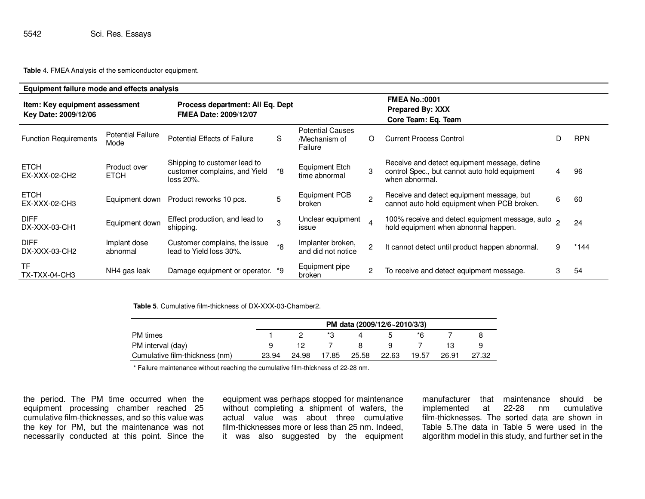**Table** 4. FMEA Analysis of the semiconductor equipment.

| Equipment failure mode and effects analysis            |                                  |                                                                            |                |                                                     |                                                                        |                                                                                                                 |   |            |
|--------------------------------------------------------|----------------------------------|----------------------------------------------------------------------------|----------------|-----------------------------------------------------|------------------------------------------------------------------------|-----------------------------------------------------------------------------------------------------------------|---|------------|
| Item: Key equipment assessment<br>Key Date: 2009/12/06 |                                  | Process department: All Eq. Dept<br><b>FMEA Date: 2009/12/07</b>           |                |                                                     | <b>FMEA No.:0001</b><br><b>Prepared By: XXX</b><br>Core Team: Eq. Team |                                                                                                                 |   |            |
| <b>Function Requirements</b>                           | <b>Potential Failure</b><br>Mode | <b>Potential Effects of Failure</b>                                        | S              | <b>Potential Causes</b><br>/Mechanism of<br>Failure | $\Omega$                                                               | <b>Current Process Control</b>                                                                                  |   | <b>RPN</b> |
| <b>ETCH</b><br>EX-XXX-02-CH2                           | Product over<br><b>ETCH</b>      | Shipping to customer lead to<br>customer complains, and Yield<br>loss 20%. | *8             | Equipment Etch<br>time abnormal                     | 3                                                                      | Receive and detect equipment message, define<br>control Spec., but cannot auto hold equipment<br>when abnormal. | 4 | 96         |
| <b>ETCH</b><br>EX-XXX-02-CH3                           | Equipment down                   | Product reworks 10 pcs.                                                    | 5              | <b>Equipment PCB</b><br>broken                      | $\mathfrak{p}$                                                         | Receive and detect equipment message, but<br>cannot auto hold equipment when PCB broken.                        | 6 | 60         |
| <b>DIFF</b><br>DX-XXX-03-CH1                           | Equipment down                   | Effect production, and lead to<br>shipping.                                | 3              | Unclear equipment<br>issue                          | $\boldsymbol{\Lambda}$                                                 | 100% receive and detect equipment message, auto 2<br>hold equipment when abnormal happen.                       |   | 24         |
| <b>DIFF</b><br>DX-XXX-03-CH2                           | Implant dose<br>abnormal         | Customer complains, the issue<br>lead to Yield loss 30%.                   | $*{\mathsf R}$ | Implanter broken,<br>and did not notice             |                                                                        | It cannot detect until product happen abnormal.                                                                 | 9 | $*144$     |
| <b>TF</b><br><b>TX-TXX-04-CH3</b>                      | NH4 gas leak                     | Damage equipment or operator. *9                                           |                | Equipment pipe<br>broken                            | $\overline{2}$                                                         | To receive and detect equipment message.                                                                        | 3 | 54         |

**Table 5**. Cumulative film-thickness of DX-XXX-03-Chamber2.

|                                | PM data (2009/12/6~2010/3/3) |       |       |       |       |       |       |       |
|--------------------------------|------------------------------|-------|-------|-------|-------|-------|-------|-------|
| <b>PM</b> times                |                              |       |       | 4     | 5     | *R.   |       |       |
| PM interval (day)              |                              |       |       | -8    | Q.    |       |       |       |
| Cumulative film-thickness (nm) | 23.94                        | 24.98 | 17.85 | 25.58 | 22.63 | 19.57 | 26.91 | 27.32 |

\* Failure maintenance without reaching the cumulative film-thickness of 22-28 nm.

the period. The PM time occurred when the equipment processing chamber reached 25 cumulative film-thicknesses, and so this value was the key for PM, but the maintenance was not necessarily conducted at this point. Since the equipment was perhaps stopped for maintenance without completing a shipment of wafers, the actual value was about three cumulative film-thicknesses more or less than 25 nm. Indeed, it was also suggested by the equipment manufacturer that maintenance should be cumulative implemented at 22-28 nm film-thicknesses. The sorted data are shown in Table 5.The data in Table 5 were used in the algorithm model in this study, and further set in the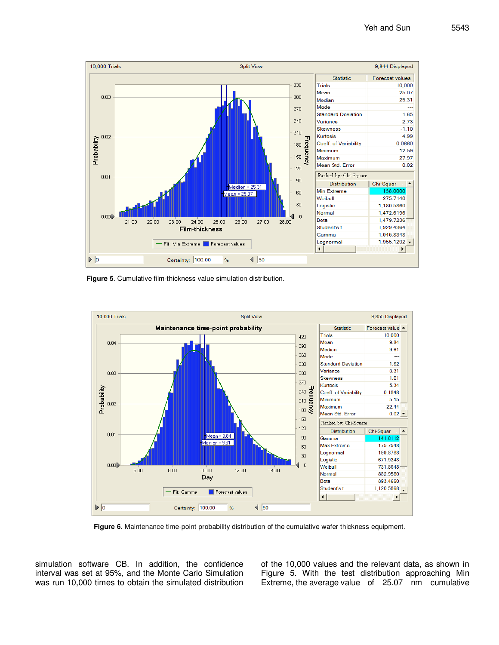

**Figure 5**. Cumulative film-thickness value simulation distribution.



**Figure 6**. Maintenance time-point probability distribution of the cumulative wafer thickness equipment.

simulation software CB. In addition, the confidence interval was set at 95%, and the Monte Carlo Simulation was run 10,000 times to obtain the simulated distribution of the 10,000 values and the relevant data, as shown in Figure 5. With the test distribution approaching Min Extreme, the average value of 25.07 nm cumulative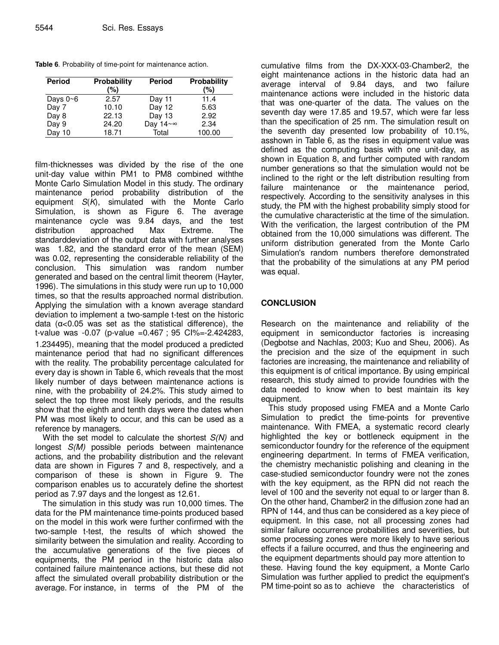|  |  |  |  |  | Table 6. Probability of time-point for maintenance action. |  |
|--|--|--|--|--|------------------------------------------------------------|--|
|--|--|--|--|--|------------------------------------------------------------|--|

| <b>Period</b>  | <b>Probability</b> | <b>Period</b> | Probability |
|----------------|--------------------|---------------|-------------|
|                | (%)                |               | (%)         |
| Days $0\neg 6$ | 2.57               | Day 11        | 11.4        |
| Day 7          | 10.10              | Day 12        | 5.63        |
| Day 8          | 22.13              | Day 13        | 2.92        |
| Day 9          | 24.20              | Day 14~∞      | 2.34        |
| Day 10         | 18.71              | Total         | 100.00      |

film-thicknesses was divided by the rise of the one unit-day value within PM1 to PM8 combined withthe Monte Carlo Simulation Model in this study. The ordinary maintenance period probability distribution of the equipment  $S(K)$ , simulated with the Monte Carlo Simulation, is shown as Figure 6. The average maintenance cycle was 9.84 days, and the test distribution approached Max Extreme. The standarddeviation of the output data with further analyses was 1.82, and the standard error of the mean (SEM) was 0.02, representing the considerable reliability of the conclusion. This simulation was random number generated and based on the central limit theorem (Hayter, 1996). The simulations in this study were run up to 10,000 times, so that the results approached normal distribution. Applying the simulation with a known average standard deviation to implement a two-sample t-test on the historic data (α<0.05 was set as the statistical difference), the t-value was  $-0.07$  (p-value  $=0.467$ ; 95 Cl% $=$ -2.424283, 1.234495), meaning that the model produced a predicted maintenance period that had no significant differences with the reality. The probability percentage calculated for every day is shown in Table 6, which reveals that the most likely number of days between maintenance actions is nine, with the probability of 24.2%. This study aimed to select the top three most likely periods, and the results show that the eighth and tenth days were the dates when PM was most likely to occur, and this can be used as a reference by managers.

With the set model to calculate the shortest  $S(N)$  and longest S(M) possible periods between maintenance actions, and the probability distribution and the relevant data are shown in Figures 7 and 8, respectively, and a comparison of these is shown in Figure 9. The comparison enables us to accurately define the shortest period as 7.97 days and the longest as 12.61.

The simulation in this study was run 10,000 times. The data for the PM maintenance time-points produced based on the model in this work were further confirmed with the two-sample t-test, the results of which showed the similarity between the simulation and reality. According to the accumulative generations of the five pieces of equipments, the PM period in the historic data also contained failure maintenance actions, but these did not affect the simulated overall probability distribution or the average. For instance, in terms of the PM of the

cumulative films from the DX-XXX-03-Chamber2, the eight maintenance actions in the historic data had an average interval of 9.84 days, and two failure maintenance actions were included in the historic data that was one-quarter of the data. The values on the seventh day were 17.85 and 19.57, which were far less than the specification of 25 nm. The simulation result on the seventh day presented low probability of 10.1%, asshown in Table 6, as the rises in equipment value was defined as the computing basis with one unit-day, as shown in Equation 8, and further computed with random number generations so that the simulation would not be inclined to the right or the left distribution resulting from failure maintenance or the maintenance period, respectively. According to the sensitivity analyses in this study, the PM with the highest probability simply stood for the cumulative characteristic at the time of the simulation. With the verification, the largest contribution of the PM obtained from the 10,000 simulations was different. The uniform distribution generated from the Monte Carlo Simulation's random numbers therefore demonstrated that the probability of the simulations at any PM period was equal.

## **CONCLUSION**

Research on the maintenance and reliability of the equipment in semiconductor factories is increasing (Degbotse and Nachlas, 2003; Kuo and Sheu, 2006). As the precision and the size of the equipment in such factories are increasing, the maintenance and reliability of this equipment is of critical importance. By using empirical research, this study aimed to provide foundries with the data needed to know when to best maintain its key equipment.

This study proposed using FMEA and a Monte Carlo Simulation to predict the time-points for preventive maintenance. With FMEA, a systematic record clearly highlighted the key or bottleneck equipment in the semiconductor foundry for the reference of the equipment engineering department. In terms of FMEA verification, the chemistry mechanistic polishing and cleaning in the case-studied semiconductor foundry were not the zones with the key equipment, as the RPN did not reach the level of 100 and the severity not equal to or larger than 8. On the other hand, Chamber2 in the diffusion zone had an RPN of 144, and thus can be considered as a key piece of equipment. In this case, not all processing zones had similar failure occurrence probabilities and severities, but some processing zones were more likely to have serious effects if a failure occurred, and thus the engineering and the equipment departments should pay more attention to these. Having found the key equipment, a Monte Carlo Simulation was further applied to predict the equipment's PM time-point so as to achieve the characteristics of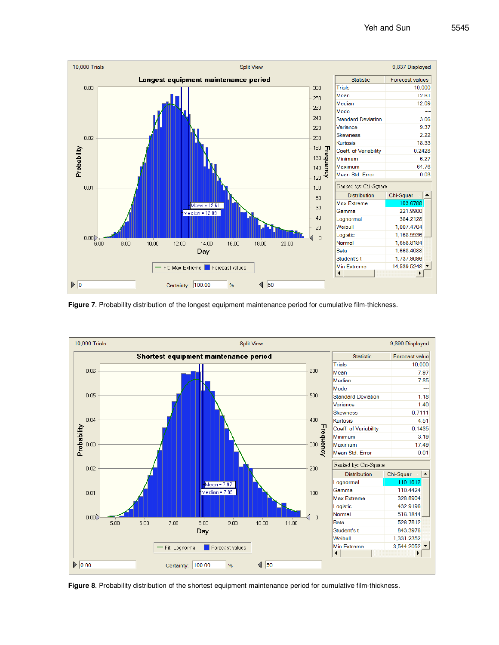

**Figure 7**. Probability distribution of the longest equipment maintenance period for cumulative film-thickness.



**Figure 8**. Probability distribution of the shortest equipment maintenance period for cumulative film-thickness.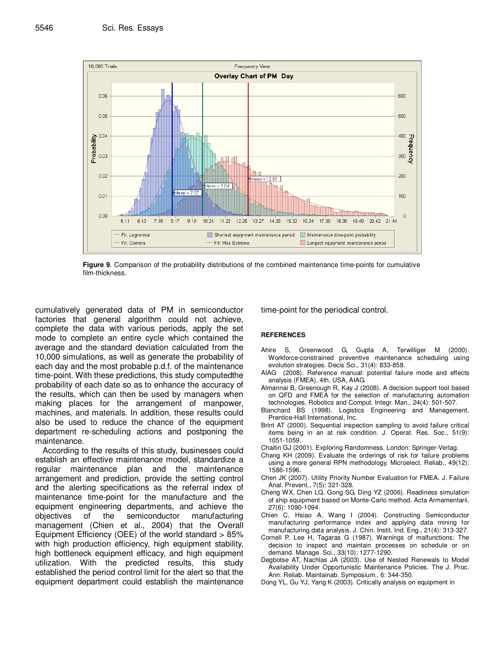

**Figure 9**. Comparison of the probability distributions of the combined maintenance time-points for cumulative film-thickness.

cumulatively generated data of PM in semiconductor factories that general algorithm could not achieve, complete the data with various periods, apply the set mode to complete an entire cycle which contained the average and the standard deviation calculated from the 10,000 simulations, as well as generate the probability of each day and the most probable p.d.f. of the maintenance time-point. With these predictions, this study computedthe probability of each date so as to enhance the accuracy of the results, which can then be used by managers when making places for the arrangement of manpower, machines, and materials. In addition, these results could also be used to reduce the chance of the equipment department re-scheduling actions and postponing the maintenance.

According to the results of this study, businesses could establish an effective maintenance model, standardize a regular maintenance plan and the maintenance arrangement and prediction, provide the setting control and the alerting specifications as the referral index of maintenance time-point for the manufacture and the equipment engineering departments, and achieve the objectives of the semiconductor manufacturing management (Chien et al., 2004) that the Overall Equipment Efficiency (OEE) of the world standard > 85% with high production efficiency, high equipment stability, high bottleneck equipment efficacy, and high equipment utilization. With the predicted results, this study established the period control limit for the alert so that the equipment department could establish the maintenance time-point for the periodical control.

#### **REFERENCES**

- Ahire S, Greenwood G, Gupta A, Terwilliger M (2000). Workforce-constrained preventive maintenance scheduling using evolution strategies. Decis Sci., 31(4): 833-858.
- AIAG (2008). Reference manual: potential failure mode and effects analysis (FMEA), 4th, USA, AIAG.
- Almannai B, Greenough R, Kay J (2008). A decision support tool based on QFD and FMEA for the selection of manufacturing automation technologies, Robotics and Comput. Integr. Man., 24(4): 501-507.
- Blanchard BS (1998). Logistics Engineering and Management, Prentice-Hall International, Inc.
- Brint AT (2000). Sequential inspection sampling to avoid failure critical items being in an at risk condition. J. Operat. Res. Soc., 51(9): 1051-1059.
- Chaitin GJ (2001). Exploring Randomness. London: Springer-Verlag.
- Chang KH (2009). Evaluate the orderings of risk for failure problems using a more general RPN methodology. Microelect. Reliab., 49(12): 1586-1596.
- Chen JK (2007). Utility Priority Number Evaluation for FMEA. J. Failure Anal. Prevent., 7(5): 321-328.
- Cheng WX, Chen LQ, Gong SG, Ding YZ (2006). Readiness simulation of ship equipment based on Monte-Carlo method. Acta Armamentarii, 27(6): 1090-1094.
- Chien C, Hsiao A, Wang I (2004). Constructing Semiconductor manufacturing performance index and applying data mining for manufacturing data analysis. J. Chin. Instit. Ind. Eng., 21(4): 313-327.
- Cornell P, Lee H, Tagaras G (1987). Warnings of malfunctions: The decision to inspect and maintain processes on schedule or on demand. Manage. Sci., 33(10): 1277-1290.
- Degbotse AT, Nachlas JA (2003). Use of Nested Renewals to Model Availability Under Opportunistic Maintenance Policies. The J. Proc. Ann. Reliab. Maintainab. Symposium., 6: 344-350.
- Dong YL, Gu YJ, Yang K (2003). Critically analysis on equipment in